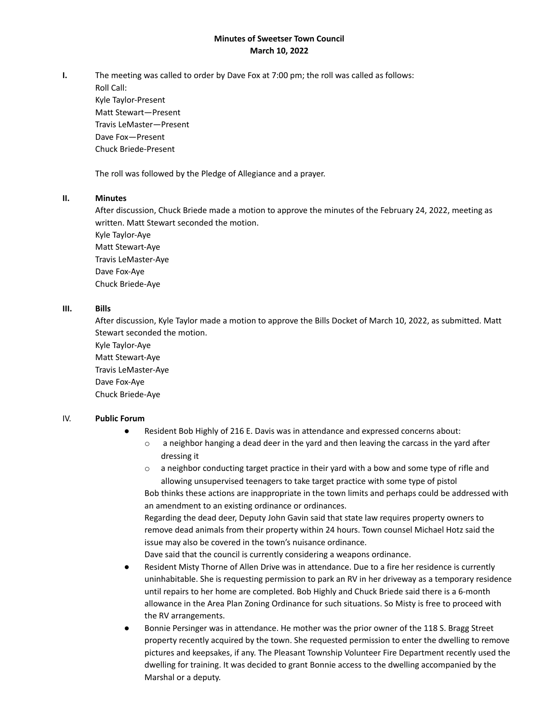## **Minutes of Sweetser Town Council March 10, 2022**

**I.** The meeting was called to order by Dave Fox at 7:00 pm; the roll was called as follows:

Roll Call: Kyle Taylor-Present Matt Stewart—Present Travis LeMaster—Present Dave Fox—Present Chuck Briede-Present

The roll was followed by the Pledge of Allegiance and a prayer.

## **II. Minutes**

After discussion, Chuck Briede made a motion to approve the minutes of the February 24, 2022, meeting as written. Matt Stewart seconded the motion.

Kyle Taylor-Aye Matt Stewart-Aye Travis LeMaster-Aye Dave Fox-Aye Chuck Briede-Aye

## **III. Bills**

After discussion, Kyle Taylor made a motion to approve the Bills Docket of March 10, 2022, as submitted. Matt Stewart seconded the motion.

Kyle Taylor-Aye Matt Stewart-Aye Travis LeMaster-Aye Dave Fox-Aye Chuck Briede-Aye

## IV. **Public Forum**

- Resident Bob Highly of 216 E. Davis was in attendance and expressed concerns about:
	- $\circ$  a neighbor hanging a dead deer in the yard and then leaving the carcass in the yard after dressing it
	- $\circ$  a neighbor conducting target practice in their yard with a bow and some type of rifle and allowing unsupervised teenagers to take target practice with some type of pistol Bob thinks these actions are inappropriate in the town limits and perhaps could be addressed with an amendment to an existing ordinance or ordinances.

Regarding the dead deer, Deputy John Gavin said that state law requires property owners to remove dead animals from their property within 24 hours. Town counsel Michael Hotz said the issue may also be covered in the town's nuisance ordinance.

Dave said that the council is currently considering a weapons ordinance.

- Resident Misty Thorne of Allen Drive was in attendance. Due to a fire her residence is currently uninhabitable. She is requesting permission to park an RV in her driveway as a temporary residence until repairs to her home are completed. Bob Highly and Chuck Briede said there is a 6-month allowance in the Area Plan Zoning Ordinance for such situations. So Misty is free to proceed with the RV arrangements.
- Bonnie Persinger was in attendance. He mother was the prior owner of the 118 S. Bragg Street property recently acquired by the town. She requested permission to enter the dwelling to remove pictures and keepsakes, if any. The Pleasant Township Volunteer Fire Department recently used the dwelling for training. It was decided to grant Bonnie access to the dwelling accompanied by the Marshal or a deputy.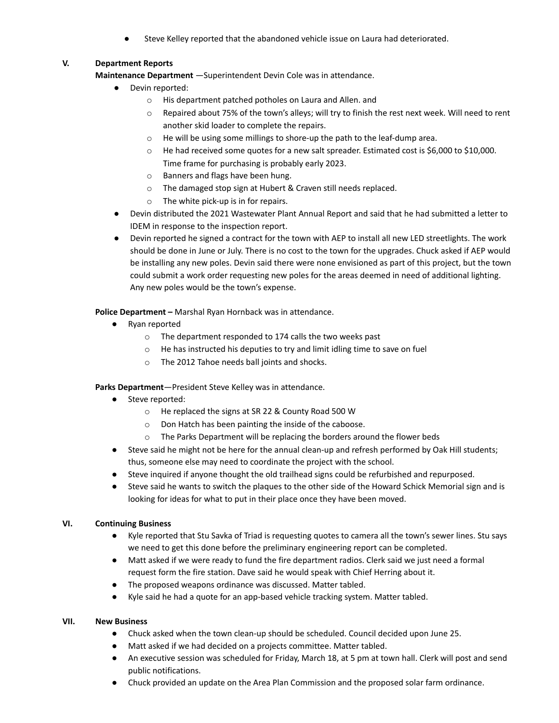Steve Kelley reported that the abandoned vehicle issue on Laura had deteriorated.

# **V. Department Reports**

**Maintenance Department** —Superintendent Devin Cole was in attendance.

- Devin reported:
	- o His department patched potholes on Laura and Allen. and
	- $\circ$  Repaired about 75% of the town's alleys; will try to finish the rest next week. Will need to rent another skid loader to complete the repairs.
	- o He will be using some millings to shore-up the path to the leaf-dump area.
	- o He had received some quotes for a new salt spreader. Estimated cost is \$6,000 to \$10,000. Time frame for purchasing is probably early 2023.
	- o Banners and flags have been hung.
	- o The damaged stop sign at Hubert & Craven still needs replaced.
	- o The white pick-up is in for repairs.
- Devin distributed the 2021 Wastewater Plant Annual Report and said that he had submitted a letter to IDEM in response to the inspection report.
- Devin reported he signed a contract for the town with AEP to install all new LED streetlights. The work should be done in June or July. There is no cost to the town for the upgrades. Chuck asked if AEP would be installing any new poles. Devin said there were none envisioned as part of this project, but the town could submit a work order requesting new poles for the areas deemed in need of additional lighting. Any new poles would be the town's expense.

**Police Department –** Marshal Ryan Hornback was in attendance.

- Ryan reported
	- o The department responded to 174 calls the two weeks past
	- $\circ$  He has instructed his deputies to try and limit idling time to save on fuel
	- o The 2012 Tahoe needs ball joints and shocks.

**Parks Department**—President Steve Kelley was in attendance.

- Steve reported:
	- o He replaced the signs at SR 22 & County Road 500 W
	- o Don Hatch has been painting the inside of the caboose.
	- o The Parks Department will be replacing the borders around the flower beds
- Steve said he might not be here for the annual clean-up and refresh performed by Oak Hill students; thus, someone else may need to coordinate the project with the school.
- Steve inquired if anyone thought the old trailhead signs could be refurbished and repurposed.
- Steve said he wants to switch the plaques to the other side of the Howard Schick Memorial sign and is looking for ideas for what to put in their place once they have been moved.

## **VI. Continuing Business**

- Kyle reported that Stu Savka of Triad is requesting quotes to camera all the town's sewer lines. Stu says we need to get this done before the preliminary engineering report can be completed.
- Matt asked if we were ready to fund the fire department radios. Clerk said we just need a formal request form the fire station. Dave said he would speak with Chief Herring about it.
- The proposed weapons ordinance was discussed. Matter tabled.
- Kyle said he had a quote for an app-based vehicle tracking system. Matter tabled.

## **VII. New Business**

- Chuck asked when the town clean-up should be scheduled. Council decided upon June 25.
- Matt asked if we had decided on a projects committee. Matter tabled.
- An executive session was scheduled for Friday, March 18, at 5 pm at town hall. Clerk will post and send public notifications.
- Chuck provided an update on the Area Plan Commission and the proposed solar farm ordinance.